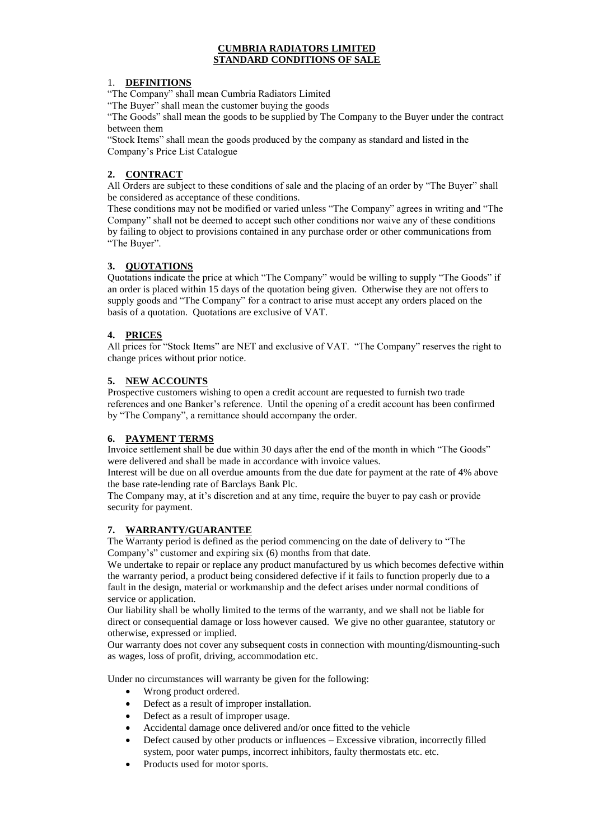#### **CUMBRIA RADIATORS LIMITED STANDARD CONDITIONS OF SALE**

#### 1. **DEFINITIONS**

"The Company" shall mean Cumbria Radiators Limited

"The Buyer" shall mean the customer buying the goods

"The Goods" shall mean the goods to be supplied by The Company to the Buyer under the contract between them

"Stock Items" shall mean the goods produced by the company as standard and listed in the Company's Price List Catalogue

# **2. CONTRACT**

All Orders are subject to these conditions of sale and the placing of an order by "The Buyer" shall be considered as acceptance of these conditions.

These conditions may not be modified or varied unless "The Company" agrees in writing and "The Company" shall not be deemed to accept such other conditions nor waive any of these conditions by failing to object to provisions contained in any purchase order or other communications from "The Buyer".

#### **3. QUOTATIONS**

Quotations indicate the price at which "The Company" would be willing to supply "The Goods" if an order is placed within 15 days of the quotation being given. Otherwise they are not offers to supply goods and "The Company" for a contract to arise must accept any orders placed on the basis of a quotation. Quotations are exclusive of VAT.

### **4. PRICES**

All prices for "Stock Items" are NET and exclusive of VAT. "The Company" reserves the right to change prices without prior notice.

#### **5. NEW ACCOUNTS**

Prospective customers wishing to open a credit account are requested to furnish two trade references and one Banker's reference. Until the opening of a credit account has been confirmed by "The Company", a remittance should accompany the order.

### **6. PAYMENT TERMS**

Invoice settlement shall be due within 30 days after the end of the month in which "The Goods" were delivered and shall be made in accordance with invoice values.

Interest will be due on all overdue amounts from the due date for payment at the rate of 4% above the base rate-lending rate of Barclays Bank Plc.

The Company may, at it's discretion and at any time, require the buyer to pay cash or provide security for payment.

### **7. WARRANTY/GUARANTEE**

The Warranty period is defined as the period commencing on the date of delivery to "The Company's" customer and expiring six (6) months from that date.

We undertake to repair or replace any product manufactured by us which becomes defective within the warranty period, a product being considered defective if it fails to function properly due to a fault in the design, material or workmanship and the defect arises under normal conditions of service or application.

Our liability shall be wholly limited to the terms of the warranty, and we shall not be liable for direct or consequential damage or loss however caused. We give no other guarantee, statutory or otherwise, expressed or implied.

Our warranty does not cover any subsequent costs in connection with mounting/dismounting-such as wages, loss of profit, driving, accommodation etc.

Under no circumstances will warranty be given for the following:

- Wrong product ordered.
- Defect as a result of improper installation.
- Defect as a result of improper usage.
- Accidental damage once delivered and/or once fitted to the vehicle
- Defect caused by other products or influences Excessive vibration, incorrectly filled system, poor water pumps, incorrect inhibitors, faulty thermostats etc. etc.
- Products used for motor sports.